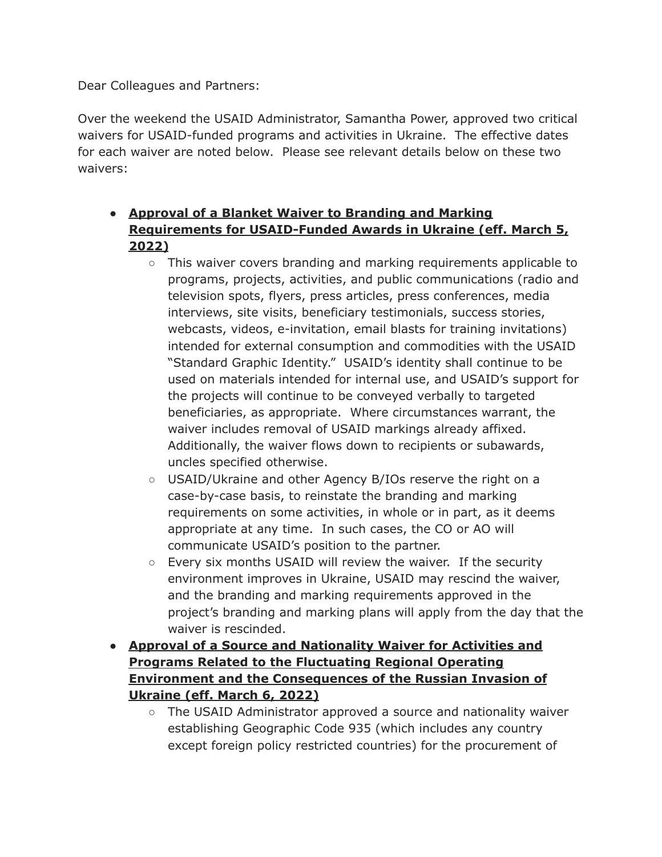Dear Colleagues and Partners:

Over the weekend the USAID Administrator, Samantha Power, approved two critical waivers for USAID-funded programs and activities in Ukraine. The effective dates for each waiver are noted below. Please see relevant details below on these two waivers:

- **Approval of a Blanket Waiver to Branding and Marking Requirements for USAID-Funded Awards in Ukraine (eff. March 5, 2022)**
	- $\circ$  This waiver covers branding and marking requirements applicable to programs, projects, activities, and public communications (radio and television spots, flyers, press articles, press conferences, media interviews, site visits, beneficiary testimonials, success stories, webcasts, videos, e-invitation, email blasts for training invitations) intended for external consumption and commodities with the USAID "Standard Graphic Identity." USAID's identity shall continue to be used on materials intended for internal use, and USAID's support for the projects will continue to be conveyed verbally to targeted beneficiaries, as appropriate. Where circumstances warrant, the waiver includes removal of USAID markings already affixed. Additionally, the waiver flows down to recipients or subawards, uncles specified otherwise.
	- USAID/Ukraine and other Agency B/IOs reserve the right on a case-by-case basis, to reinstate the branding and marking requirements on some activities, in whole or in part, as it deems appropriate at any time. In such cases, the CO or AO will communicate USAID's position to the partner.
	- Every six months USAID will review the waiver. If the security environment improves in Ukraine, USAID may rescind the waiver, and the branding and marking requirements approved in the project's branding and marking plans will apply from the day that the waiver is rescinded.
- **Approval of a Source and Nationality Waiver for Activities and Programs Related to the Fluctuating Regional Operating Environment and the Consequences of the Russian Invasion of Ukraine (eff. March 6, 2022)**
	- The USAID Administrator approved a source and nationality waiver establishing Geographic Code 935 (which includes any country except foreign policy restricted countries) for the procurement of